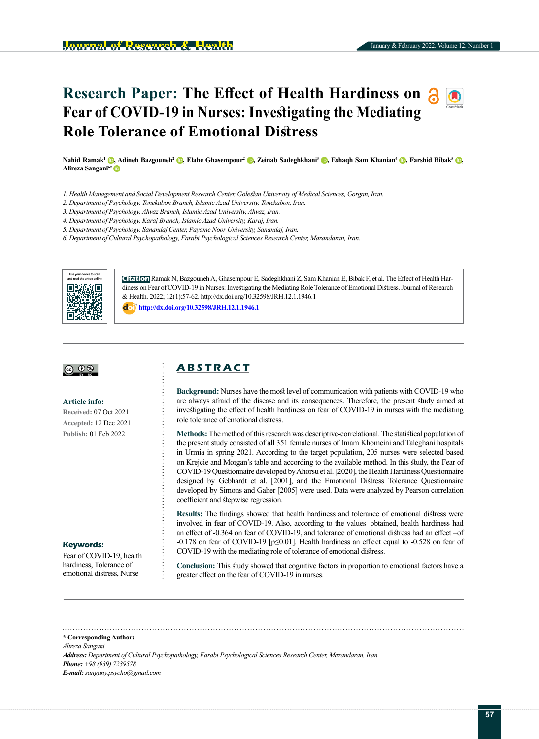# **Research Paper: The Effect of Health Hardiness on Fear of COVID-19 in Nurses: Investigating the Mediating Role Tolerance of Emotional Distress**

**Nahid Ramak1 [,](https://orcid.org/0000-0003-4430-6039) Adineh Bazgouneh2 [,](https://orcid.org/0000-0002-7331-1083) Elahe Ghasempour2 [,](https://orcid.org/0000-0002-6732-6676) Zeinab Sadeghkhani3 [,](https://orcid.org/0000-0002-0941-3333) Eshaqh Sam Khanian4 [,](https://orcid.org/0000-0002-8692-4452) Farshid Bibak5 [,](https://orcid.org/0000-0002-3271-0440)  Alireza Sangani6[\\*](https://orcid.org/0000-0002-6255-7467)**

- *1. Health Management and Social Development Research Center, Golestan University of Medical Sciences, Gorgan, Iran.*
- *2. Department of Psychology, Tonekabon Branch, Islamic Azad University, Tonekabon, Iran.*
- *3. Department of Psychology, Ahvaz Branch, Islamic Azad University, Ahvaz, Iran.*
- *4. Department of Psychology, Karaj Branch, Islamic Azad University, Karaj, Iran.*
- *5. Department of Psychology, Sanandaj Center, Payame Noor University, Sanandaj, Iran.*
- *6. Department of Cultural Psychopathology, Farabi Psychological Sciences Research Center, Mazandaran, Iran.*



**Citation** Ramak N, Bazgouneh A, Ghasempour E, Sadeghkhani Z, Sam Khanian E, Bibak F, et al. The Effect of Health Hardiness on Fear of COVID-19 in Nurses: Investigating the Mediating Role Tolerance of Emotional Distress. Journal of Research & Health. 2022; 12(1):57-62. http://dx.doi.org/10.32598/JRH.12.1.1946.1

**<http://dx.doi.org/10.32598/JRH.12.1.1946.1>**



**Article info: Received:** 07 Oct 2021 **Accepted:** 12 Dec 2021 **Publish:** 01 Feb 2022

#### **Keywords:**

Fear of COVID-19, health hardiness, Tolerance of emotional distress, Nurse

# **A B S T R A C T**

**Background:** Nurses have the most level of communication with patients with COVID-19 who are always afraid of the disease and its consequences. Therefore, the present study aimed at investigating the effect of health hardiness on fear of COVID-19 in nurses with the mediating role tolerance of emotional distress.

**Methods:**The method of this research was descriptive-correlational. The statistical population of the present study consisted of all 351 female nurses of Imam Khomeini and Taleghani hospitals in Urmia in spring 2021. According to the target population, 205 nurses were selected based on Krejcie and Morgan's table and according to the available method. In this study, the Fear of COVID-19 Questionnaire developed by Ahorsu et al. [2020], the Health Hardiness Questionnaire designed by Gebhardt et al. [2001], and the Emotional Distress Tolerance Questionnaire developed by Simons and Gaher [2005] were used. Data were analyzed by Pearson correlation coefficient and stepwise regression.

**Results:** The findings showed that health hardiness and tolerance of emotional distress were involved in fear of COVID-19. Also, according to the values obtained, health hardiness had an effect of -0.364 on fear of COVID-19, and tolerance of emotional distress had an effect –of -0.178 on fear of COVID-19 [p≤0.01]. Health hardiness an effect equal to -0.528 on fear of COVID-19 with the mediating role of tolerance of emotional distress.

**Conclusion:** This study showed that cognitive factors in proportion to emotional factors have a greater effect on the fear of COVID-19 in nurses.

#### **\* Corresponding Author:**

*Alireza Sangani Address: Department of Cultural Psychopathology, Farabi Psychological Sciences Research Center, Mazandaran, Iran. Phone: +98 (939) 7239578 E-mail: sangany.psycho@gmail.com*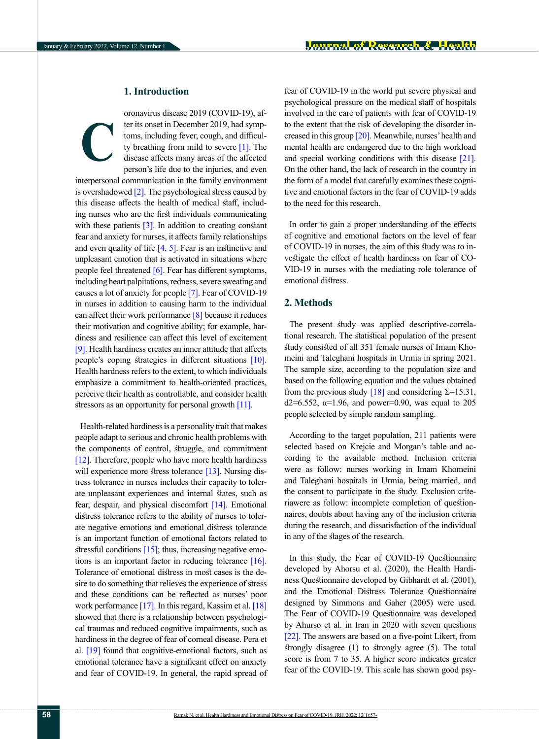# **1. Introduction**

oronavirus disease 2019 (COVID-19), after its onset in December 2019, had symptoms, including fever, cough, and difficulty breathing from mild to severe [\[1\].](#page-4-0) The disease affects many areas of the affected person's life due to the injuries, and even **C**

interpersonal communication in the family environment is overshadowed  $[2]$ . The psychological stress caused by this disease affects the health of medical staff, including nurses who are the first individuals communicating with these patients  $\lceil 3 \rceil$ . In addition to creating constant fear and anxiety for nurses, it affects family relationships and even quality of life  $[4, 5]$  $[4, 5]$ . Fear is an instinctive and unpleasant emotion that is activated in situations where people feel threatened [\[6\]](#page-5-1). Fear has different symptoms, including heart palpitations, redness, severe sweating and causes a lot of anxiety for people [\[7\]](#page-5-2). Fear of COVID-19 in nurses in addition to causing harm to the individual can affect their work performance  $\lceil 8 \rceil$  because it reduces their motivation and cognitive ability; for example, hardiness and resilience can affect this level of excitement [\[9\]](#page-5-4). Health hardiness creates an inner attitude that affects people's coping strategies in different situations [\[10\]](#page-5-5). Health hardness refers to the extent, to which individuals emphasize a commitment to health-oriented practices, perceive their health as controllable, and consider health stressors as an opportunity for personal growth  $[11]$ .

Health-related hardiness is a personality trait that makes people adapt to serious and chronic health problems with the components of control, struggle, and commitment [\[12\]](#page-5-7). Therefore, people who have more health hardiness will experience more stress tolerance [\[13\]](#page-5-5). Nursing distress tolerance in nurses includes their capacity to tolerate unpleasant experiences and internal states, such as fear, despair, and physical discomfort [\[14\]](#page-5-8). Emotional distress tolerance refers to the ability of nurses to tolerate negative emotions and emotional distress tolerance is an important function of emotional factors related to stressful conditions  $[15]$ ; thus, increasing negative emotions is an important factor in reducing tolerance [\[16\]](#page-5-9). Tolerance of emotional distress in most cases is the desire to do something that relieves the experience of stress and these conditions can be reflected as nurses' poor work performance  $[17]$ . In this regard, Kassim et al.  $[18]$ showed that there is a relationship between psychological traumas and reduced cognitive impairments, such as hardiness in the degree of fear of corneal disease. Pera et al. [\[19\] f](#page-5-12)ound that cognitive-emotional factors, such as emotional tolerance have a significant effect on anxiety and fear of COVID-19. In general, the rapid spread of fear of COVID-19 in the world put severe physical and psychological pressure on the medical staff of hospitals involved in the care of patients with fear of COVID-19 to the extent that the risk of developing the disorder increased in this group [\[20\]](#page-5-13). Meanwhile, nurses' health and mental health are endangered due to the high workload and special working conditions with this disease [\[21\]](#page-5-14). On the other hand, the lack of research in the country in the form of a model that carefully examines these cognitive and emotional factors in the fear of COVID-19 adds to the need for this research.

In order to gain a proper understanding of the effects of cognitive and emotional factors on the level of fear of COVID-19 in nurses, the aim of this study was to investigate the effect of health hardiness on fear of CO-VID-19 in nurses with the mediating role tolerance of emotional distress.

## **2. Methods**

The present study was applied descriptive-correlational research. The statistical population of the present study consisted of all 351 female nurses of Imam Khomeini and Taleghani hospitals in Urmia in spring 2021. The sample size, according to the population size and based on the following equation and the values obtained from the previous study [\[18\]](#page-5-11) and considering  $\Sigma$ =15.31, d2=6.552,  $\alpha$ =1.96, and power=0.90, was equal to 205 people selected by simple random sampling.

According to the target population, 211 patients were selected based on Krejcie and Morgan's table and according to the available method. Inclusion criteria were as follow: nurses working in Imam Khomeini and Taleghani hospitals in Urmia, being married, and the consent to participate in the study. Exclusion criteriawere as follow: incomplete completion of questionnaires, doubts about having any of the inclusion criteria during the research, and dissatisfaction of the individual in any of the stages of the research.

In this study, the Fear of COVID-19 Questionnaire developed by Ahorsu et al. (2020), the Health Hardiness Questionnaire developed by Gibhardt et al. (2001), and the Emotional Distress Tolerance Questionnaire designed by Simmons and Gaher (2005) were used. The Fear of COVID-19 Questionnaire was developed by Ahurso et al. in Iran in 2020 with seven questions [\[22\].](#page-5-15) The answers are based on a five-point Likert, from strongly disagree (1) to strongly agree (5). The total score is from 7 to 35. A higher score indicates greater fear of the COVID-19. This scale has shown good psy-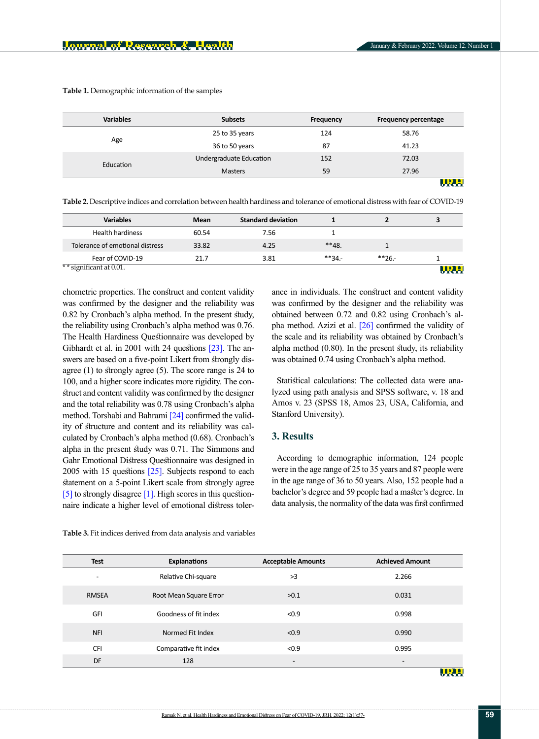| <b>Variables</b> | <b>Subsets</b>          | Frequency | <b>Frequency percentage</b> |
|------------------|-------------------------|-----------|-----------------------------|
| Age              | 25 to 35 years          | 124       | 58.76                       |
|                  | 36 to 50 years          | 87        | 41.23                       |
| Education        | Undergraduate Education | 152       | 72.03                       |
|                  | <b>Masters</b>          | 59        | 27.96                       |
|                  |                         |           | <u>MD TA</u>                |

**Table 1.** Demographic information of the samples

<span id="page-2-0"></span>**Table 2.** Descriptive indices and correlation between health hardiness and tolerance of emotional distress with fear of COVID-19

| <b>Variables</b>                | Mean  | <b>Standard deviation</b> |         |              | 3          |
|---------------------------------|-------|---------------------------|---------|--------------|------------|
| <b>Health hardiness</b>         | 60.54 | 7.56                      |         |              |            |
| Tolerance of emotional distress | 33.82 | 4.25                      | $**48$  |              |            |
| Fear of COVID-19                | 21.7  | 3.81                      | $**34.$ | $*$ $*$ 26.- |            |
| ** significant at $0.01$ .      |       |                           |         |              | <u>URH</u> |

chometric properties. The construct and content validity was confirmed by the designer and the reliability was 0.82 by Cronbach's alpha method. In the present study, the reliability using Cronbach's alpha method was 0.76. The Health Hardiness Questionnaire was developed by Gibhardt et al. in 2001 with 24 questions [\[23\].](#page-5-16) The answers are based on a five-point Likert from strongly disagree (1) to strongly agree (5). The score range is 24 to 100, and a higher score indicates more rigidity. The construct and content validity was confirmed by the designer and the total reliability was 0.78 using Cronbach's alpha method. Torshabi and Bahrami [\[24\]](#page-5-17) confirmed the validity of structure and content and its reliability was calculated by Cronbach's alpha method (0.68). Cronbach's alpha in the present study was 0.71. The Simmons and Gahr Emotional Distress Questionnaire was designed in 2005 with 15 questions [\[25\]](#page-5-18). Subjects respond to each statement on a 5-point Likert scale from strongly agree [\[5\]](#page-5-0) to strongly disagree [\[1\]](#page-4-0). High scores in this questionnaire indicate a higher level of emotional distress tolerance in individuals. The construct and content validity was confirmed by the designer and the reliability was obtained between 0.72 and 0.82 using Cronbach's alpha method. Azizi et al. [\[26\]](#page-5-19) confirmed the validity of the scale and its reliability was obtained by Cronbach's alpha method (0.80). In the present study, its reliability was obtained 0.74 using Cronbach's alpha method.

Statistical calculations: The collected data were analyzed using path analysis and SPSS software, v. 18 and Amos v. 23 (SPSS 18, Amos 23, USA, California, and Stanford University).

## **3. Results**

According to demographic information, 124 people were in the age range of 25 to 35 years and 87 people were in the age range of 36 to 50 years. Also, 152 people had a bachelor's degree and 59 people had a master's degree. In data analysis, the normality of the data was first confirmed

| Test                     | <b>Explanations</b>    | <b>Acceptable Amounts</b> | <b>Achieved Amount</b>   |
|--------------------------|------------------------|---------------------------|--------------------------|
| $\overline{\phantom{a}}$ | Relative Chi-square    | >3                        | 2.266                    |
| <b>RMSEA</b>             | Root Mean Square Error | >0.1                      | 0.031                    |
| GFI                      | Goodness of fit index  | < 0.9                     | 0.998                    |
| <b>NFI</b>               | Normed Fit Index       | < 0.9                     | 0.990                    |
| <b>CFI</b>               | Comparative fit index  | < 0.9                     | 0.995                    |
| DF                       | 128                    | $\overline{\phantom{a}}$  | $\overline{\phantom{0}}$ |

<span id="page-2-1"></span>**Table 3.** Fit indices derived from data analysis and variables

IRH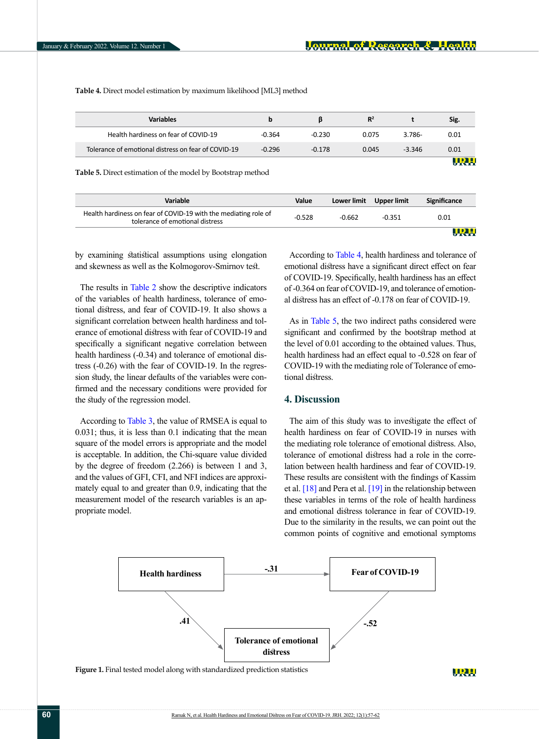**Table 4.** Direct model estimation by maximum likelihood [ML3] method

| <b>Variables</b>                                    | p        |          | $R^2$ |          | Sig.        |
|-----------------------------------------------------|----------|----------|-------|----------|-------------|
| Health hardiness on fear of COVID-19                | $-0.364$ | $-0.230$ | 0.075 | 3.786-   | 0.01        |
| Tolerance of emotional distress on fear of COVID-19 | $-0.296$ | $-0.178$ | 0.045 | $-3.346$ | 0.01        |
|                                                     |          |          |       |          | <b>HDIE</b> |

<span id="page-3-0"></span>**Table 5.** Direct estimation of the model by Bootstrap method

| <b>Variable</b>                                                                                    | Value    |          | Lower limit Upper limit | Significance |
|----------------------------------------------------------------------------------------------------|----------|----------|-------------------------|--------------|
| Health hardiness on fear of COVID-19 with the mediating role of<br>tolerance of emotional distress | $-0.528$ | $-0.662$ | $-0.351$                | 0.01         |
|                                                                                                    |          |          |                         |              |

by examining statistical assumptions using elongation and skewness as well as the Kolmogorov-Smirnov test.

The results in [Table 2](#page-2-0) show the descriptive indicators of the variables of health hardiness, tolerance of emotional distress, and fear of COVID-19. It also shows a significant correlation between health hardiness and tolerance of emotional distress with fear of COVID-19 and specifically a significant negative correlation between health hardiness (-0.34) and tolerance of emotional distress (-0.26) with the fear of COVID-19. In the regression study, the linear defaults of the variables were confirmed and the necessary conditions were provided for the study of the regression model.

According to [Table 3,](#page-2-1) the value of RMSEA is equal to 0.031; thus, it is less than 0.1 indicating that the mean square of the model errors is appropriate and the model is acceptable. In addition, the Chi-square value divided by the degree of freedom (2.266) is between 1 and 3, and the values of GFI, CFI, and NFI indices are approximately equal to and greater than 0.9, indicating that the measurement model of the research variables is an appropriate model.

According to [Table 4,](#page-3-0) health hardiness and tolerance of emotional distress have a significant direct effect on fear of COVID-19. Specifically, health hardiness has an effect of -0.364 on fear of COVID-19, and tolerance of emotional distress has an effect of -0.178 on fear of COVID-19.

As in [Table 5,](#page-3-0) the two indirect paths considered were significant and confirmed by the bootstrap method at the level of 0.01 according to the obtained values. Thus, health hardiness had an effect equal to -0.528 on fear of COVID-19 with the mediating role of Tolerance of emotional distress.

# **4. Discussion**

The aim of this study was to investigate the effect of health hardiness on fear of COVID-19 in nurses with the mediating role tolerance of emotional distress. Also, tolerance of emotional distress had a role in the correlation between health hardiness and fear of COVID-19. These results are consistent with the findings of Kassim et al.  $[18]$  and Pera et al.  $[19]$  in the relationship between these variables in terms of the role of health hardiness and emotional distress tolerance in fear of COVID-19. Due to the similarity in the results, we can point out the common points of cognitive and emotional symptoms



Figure 1. Final tested model along with standardized prediction statistics

URH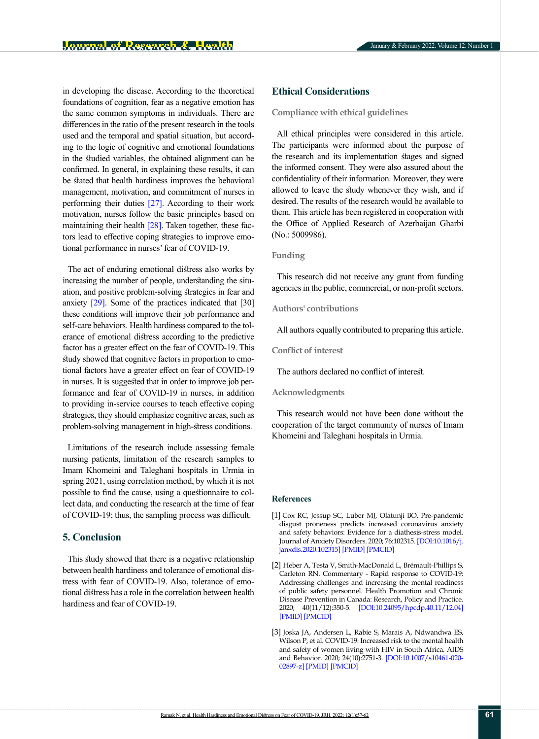in developing the disease. According to the theoretical foundations of cognition, fear as a negative emotion has the same common symptoms in individuals. There are differences in the ratio of the present research in the tools used and the temporal and spatial situation, but according to the logic of cognitive and emotional foundations in the studied variables, the obtained alignment can be confirmed. In general, in explaining these results, it can be stated that health hardiness improves the behavioral management, motivation, and commitment of nurses in performing their duties [\[27\]](#page-5-20). According to their work motivation, nurses follow the basic principles based on maintaining their health [\[28\]](#page-5-21). Taken together, these factors lead to effective coping strategies to improve emotional performance in nurses' fear of COVID-19.

The act of enduring emotional distress also works by increasing the number of people, understanding the situation, and positive problem-solving strategies in fear and anxiety [29]. Some of the practices indicated that [30] these conditions will improve their job performance and self-care behaviors. Health hardiness compared to the tolerance of emotional distress according to the predictive factor has a greater effect on the fear of COVID-19. This study showed that cognitive factors in proportion to emotional factors have a greater effect on fear of COVID-19 in nurses. It is suggested that in order to improve job performance and fear of COVID-19 in nurses, in addition to providing in-service courses to teach effective coping strategies, they should emphasize cognitive areas, such as problem-solving management in high-stress conditions.

Limitations of the research include assessing female nursing patients, limitation of the research samples to Imam Khomeini and Taleghani hospitals in Urmia in spring 2021, using correlation method, by which it is not possible to find the cause, using a questionnaire to collect data, and conducting the research at the time of fear of COVID-19; thus, the sampling process was difficult.

# **5. Conclusion**

This study showed that there is a negative relationship between health hardiness and tolerance of emotional distress with fear of COVID-19. Also, tolerance of emotional distress has a role in the correlation between health hardiness and fear of COVID-19.

# **Ethical Considerations**

#### **Compliance with ethical guidelines**

All ethical principles were considered in this article. The participants were informed about the purpose of the research and its implementation stages and signed the informed consent. They were also assured about the confidentiality of their information. Moreover, they were allowed to leave the study whenever they wish, and if desired. The results of the research would be available to them. This article has been registered in cooperation with the Office of Applied Research of Azerbaijan Gharbi (No.: 5009986).

## **Funding**

This research did not receive any grant from funding agencies in the public, commercial, or non-profit sectors.

## **Authors' contributions**

All authors equally contributed to preparing this article.

#### **Conflict of interest**

The authors declared no conflict of interest.

### **Acknowledgments**

This research would not have been done without the cooperation of the target community of nurses of Imam Khomeini and Taleghani hospitals in Urmia.

## **References**

- <span id="page-4-0"></span>[1] Cox RC, Jessup SC, Luber MJ, Olatunji BO. Pre-pandemic disgust proneness predicts increased coronavirus anxiety and safety behaviors: Evidence for a diathesis-stress model. Journal of Anxiety Disorders. 2020; 76:102315. [\[DOI:10.1016/j.](https://doi.org/10.1016/j.janxdis.2020.102315) [janxdis.2020.102315\]](https://doi.org/10.1016/j.janxdis.2020.102315) [[PMID](https://www.ncbi.nlm.nih.gov/pubmed/33007711)] [\[PMCID\]](http://www.ncbi.nlm.nih.gov/pmc/articles/PMC7507982)
- [2] Heber A, Testa V, Smith-MacDonald L, Brémault-Phillips S, Carleton RN. Commentary - Rapid response to COVID-19: Addressing challenges and increasing the mental readiness of public safety personnel. Health Promotion and Chronic Disease Prevention in Canada: Research, Policy and Practice. 2020; 40(11/12):350-5. [\[DOI:10.24095/hpcdp.40.11/12.04\]](https://doi.org/10.24095/hpcdp.40.11/12.04) [[PMID](https://www.ncbi.nlm.nih.gov/pubmed/32909935)] [\[PMCID\]](http://www.ncbi.nlm.nih.gov/pmc/articles/PMC7745835)
- <span id="page-4-1"></span>[3] Joska JA, Andersen L, Rabie S, Marais A, Ndwandwa ES, Wilson P, et al. COVID-19: Increased risk to the mental health and safety of women living with HIV in South Africa. AIDS and Behavior. 2020; 24(10):2751-3. [[DOI:10.1007/s10461-020-](https://doi.org/10.1007/s10461-020-02897-z) [02897-z\]](https://doi.org/10.1007/s10461-020-02897-z) [[PMID](https://www.ncbi.nlm.nih.gov/pubmed/32347405)] [\[PMCID\]](http://www.ncbi.nlm.nih.gov/pmc/articles/PMC7188491)